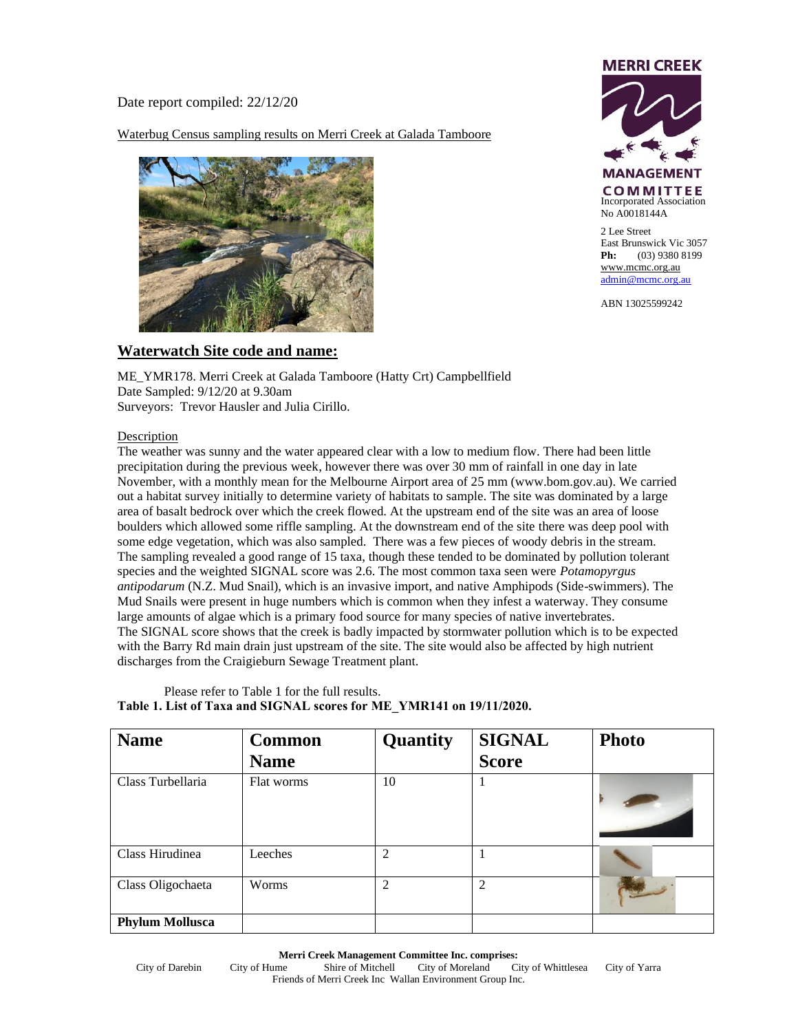Date report compiled: 22/12/20

Waterbug Census sampling results on Merri Creek at Galada Tamboore





2 Lee Street East Brunswick Vic 3057 **Ph:** (03) 9380 8199 [www.mcmc.org.au](http://www.mcmc.org.au/) [admin@mcmc.org.au](mailto:admin@mcmc.org.au)

ABN 13025599242

## **Waterwatch Site code and name:**

ME\_YMR178. Merri Creek at Galada Tamboore (Hatty Crt) Campbellfield Date Sampled: 9/12/20 at 9.30am Surveyors: Trevor Hausler and Julia Cirillo.

## Description

The weather was sunny and the water appeared clear with a low to medium flow. There had been little precipitation during the previous week, however there was over 30 mm of rainfall in one day in late November, with a monthly mean for the Melbourne Airport area of 25 mm (www.bom.gov.au). We carried out a habitat survey initially to determine variety of habitats to sample. The site was dominated by a large area of basalt bedrock over which the creek flowed. At the upstream end of the site was an area of loose boulders which allowed some riffle sampling. At the downstream end of the site there was deep pool with some edge vegetation, which was also sampled. There was a few pieces of woody debris in the stream. The sampling revealed a good range of 15 taxa, though these tended to be dominated by pollution tolerant species and the weighted SIGNAL score was 2.6. The most common taxa seen were *Potamopyrgus antipodarum* (N.Z. Mud Snail), which is an invasive import, and native Amphipods (Side-swimmers). The Mud Snails were present in huge numbers which is common when they infest a waterway. They consume large amounts of algae which is a primary food source for many species of native invertebrates. The SIGNAL score shows that the creek is badly impacted by stormwater pollution which is to be expected with the Barry Rd main drain just upstream of the site. The site would also be affected by high nutrient discharges from the Craigieburn Sewage Treatment plant.

| Please refer to Table 1 for the full results.                        |
|----------------------------------------------------------------------|
| Table 1. List of Taxa and SIGNAL scores for ME YMR141 on 19/11/2020. |

| <b>Name</b>            | <b>Common</b><br><b>Name</b> | Quantity       | <b>SIGNAL</b><br><b>Score</b> | <b>Photo</b> |
|------------------------|------------------------------|----------------|-------------------------------|--------------|
| Class Turbellaria      | Flat worms                   | 10             |                               |              |
| Class Hirudinea        | Leeches                      | $\overline{2}$ |                               |              |
| Class Oligochaeta      | Worms                        | 2              | 2                             |              |
| <b>Phylum Mollusca</b> |                              |                |                               |              |

**Merri Creek Management Committee Inc. comprises:**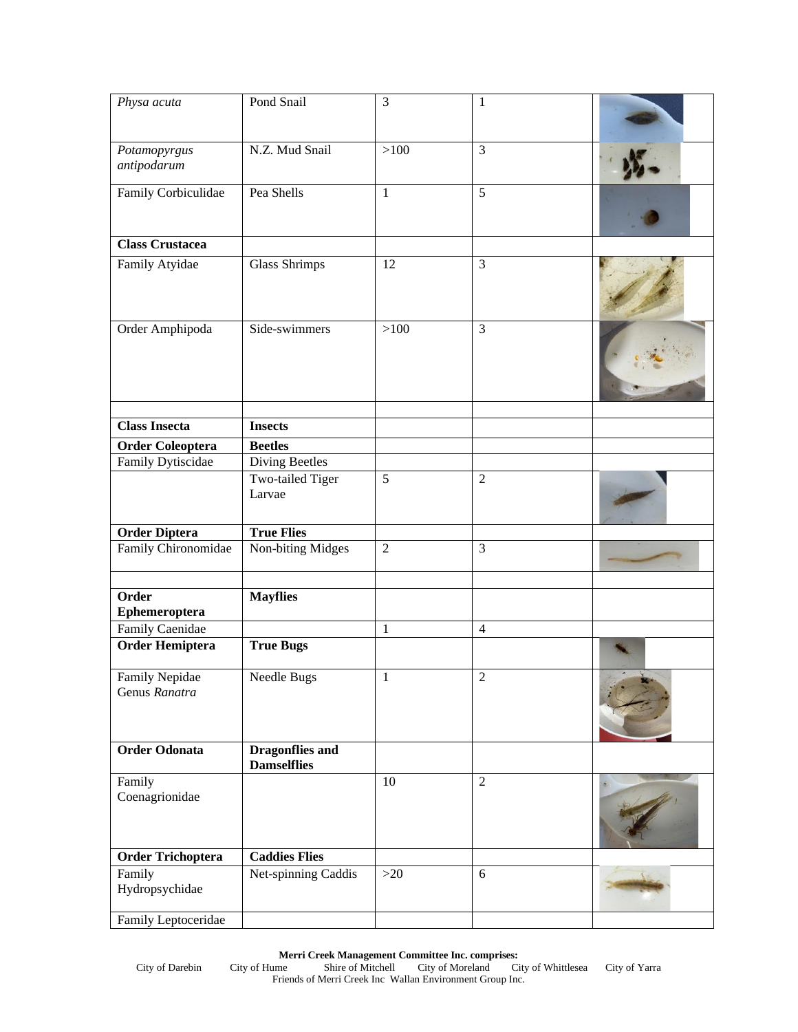| Physa acuta                     | Pond Snail                                   | $\overline{3}$ | $\mathbf{1}$   |  |
|---------------------------------|----------------------------------------------|----------------|----------------|--|
|                                 |                                              |                |                |  |
| Potamopyrgus<br>antipodarum     | N.Z. Mud Snail                               | >100           | $\overline{3}$ |  |
| <b>Family Corbiculidae</b>      | Pea Shells                                   | $\mathbf{1}$   | $\overline{5}$ |  |
| <b>Class Crustacea</b>          |                                              |                |                |  |
| Family Atyidae                  | <b>Glass Shrimps</b>                         | 12             | 3              |  |
| Order Amphipoda                 | Side-swimmers                                | >100           | 3              |  |
| <b>Class Insecta</b>            | <b>Insects</b>                               |                |                |  |
| <b>Order Coleoptera</b>         | <b>Beetles</b>                               |                |                |  |
| <b>Family Dytiscidae</b>        | <b>Diving Beetles</b>                        |                |                |  |
|                                 | <b>Two-tailed Tiger</b><br>Larvae            | 5              | $\overline{2}$ |  |
| <b>Order Diptera</b>            | <b>True Flies</b>                            |                |                |  |
| Family Chironomidae             | Non-biting Midges                            | $\overline{2}$ | 3              |  |
| Order<br>Ephemeroptera          | <b>Mayflies</b>                              |                |                |  |
| <b>Family Caenidae</b>          |                                              | $\mathbf{1}$   | $\overline{4}$ |  |
| <b>Order Hemiptera</b>          | <b>True Bugs</b>                             |                |                |  |
| Family Nepidae<br>Genus Ranatra | Needle Bugs                                  | $\mathbf{1}$   | $\sqrt{2}$     |  |
| <b>Order Odonata</b>            | <b>Dragonflies and</b><br><b>Damselflies</b> |                |                |  |
| Family<br>Coenagrionidae        |                                              | 10             | $\overline{2}$ |  |
| <b>Order Trichoptera</b>        | <b>Caddies Flies</b>                         |                |                |  |
| Family<br>Hydropsychidae        | Net-spinning Caddis                          | $>20$          | 6              |  |
| Family Leptoceridae             |                                              |                |                |  |

**Merri Creek Management Committee Inc. comprises:**